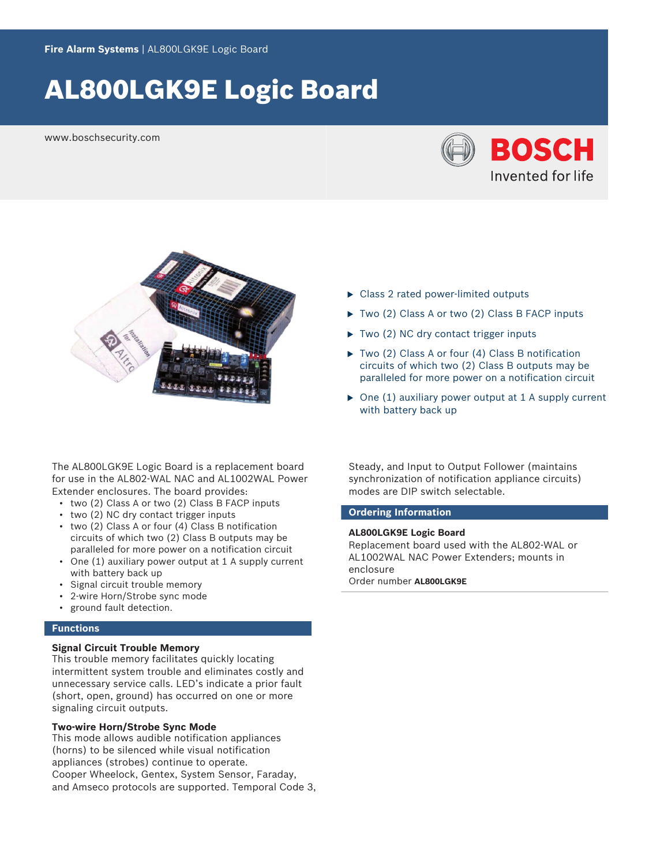# AL800LGK9E Logic Board

www.boschsecurity.com





The AL800LGK9E Logic Board is a replacement board for use in the AL802‑WAL NAC and AL1002WAL Power Extender enclosures. The board provides:

- two (2) Class A or two (2) Class B FACP inputs
- two (2) NC dry contact trigger inputs
- two (2) Class A or four (4) Class B notification circuits of which two (2) Class B outputs may be paralleled for more power on a notification circuit
- One (1) auxiliary power output at 1 A supply current with battery back up
- Signal circuit trouble memory
- 2-wire Horn/Strobe sync mode
- ground fault detection.

## **Functions**

### **Signal Circuit Trouble Memory**

This trouble memory facilitates quickly locating intermittent system trouble and eliminates costly and unnecessary service calls. LED's indicate a prior fault (short, open, ground) has occurred on one or more signaling circuit outputs.

### **Two-wire Horn/Strobe Sync Mode**

This mode allows audible notification appliances (horns) to be silenced while visual notification appliances (strobes) continue to operate. Cooper Wheelock, Gentex, System Sensor, Faraday, and Amseco protocols are supported. Temporal Code 3,

- $\triangleright$  Class 2 rated power-limited outputs
- $\triangleright$  Two (2) Class A or two (2) Class B FACP inputs
- $\triangleright$  Two (2) NC dry contact trigger inputs
- $\triangleright$  Two (2) Class A or four (4) Class B notification circuits of which two (2) Class B outputs may be paralleled for more power on a notification circuit
- $\triangleright$  One (1) auxiliary power output at 1 A supply current with battery back up

Steady, and Input to Output Follower (maintains synchronization of notification appliance circuits) modes are DIP switch selectable.

### **Ordering Information**

#### **AL800LGK9E Logic Board**

Replacement board used with the AL802‑WAL or AL1002WAL NAC Power Extenders; mounts in enclosure Order number **AL800LGK9E**